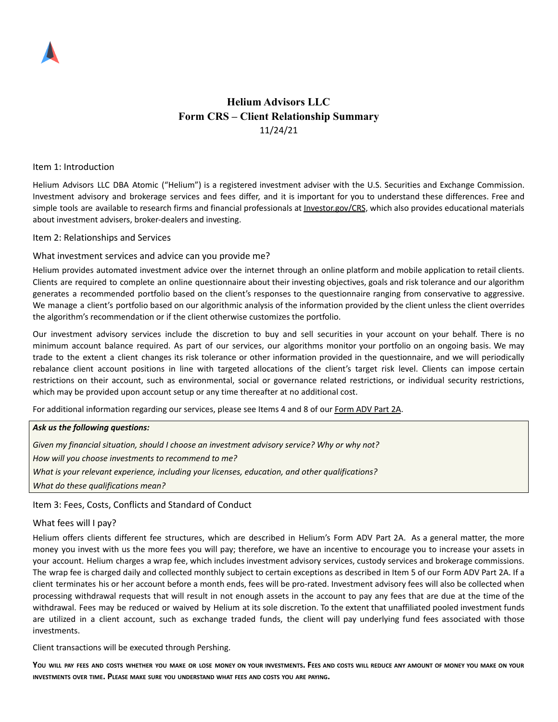

# **Helium Advisors LLC Form CRS – Client Relationship Summary** 11/24/21

#### Item 1: Introduction

Helium Advisors LLC DBA Atomic ("Helium") is a registered investment adviser with the U.S. Securities and Exchange Commission. Investment advisory and brokerage services and fees differ, and it is important for you to understand these differences. Free and simple tools are available to research firms and financial professionals at *[Investor.gov/CRS](https://www.investor.gov/CRS)*, which also provides educational materials about investment advisers, broker-dealers and investing.

#### Item 2: Relationships and Services

## What investment services and advice can you provide me?

Helium provides automated investment advice over the internet through an online platform and mobile application to retail clients. Clients are required to complete an online questionnaire about their investing objectives, goals and risk tolerance and our algorithm generates a recommended portfolio based on the client's responses to the questionnaire ranging from conservative to aggressive. We manage a client's portfolio based on our algorithmic analysis of the information provided by the client unless the client overrides the algorithm's recommendation or if the client otherwise customizes the portfolio.

Our investment advisory services include the discretion to buy and sell securities in your account on your behalf. There is no minimum account balance required. As part of our services, our algorithms monitor your portfolio on an ongoing basis. We may trade to the extent a client changes its risk tolerance or other information provided in the questionnaire, and we will periodically rebalance client account positions in line with targeted allocations of the client's target risk level. Clients can impose certain restrictions on their account, such as environmental, social or governance related restrictions, or individual security restrictions, which may be provided upon account setup or any time thereafter at no additional cost.

For additional information regarding our services, please see Items 4 and 8 of our [Form](https://adviserinfo.sec.gov/firm/summary/313255) ADV Part 2A.

### *Ask us the following questions:*

*Given my financial situation, should I choose an investment advisory service? Why or why not? How will you choose investments to recommend to me? What is your relevant experience, including your licenses, education, and other qualifications? What do these qualifications mean?*

### Item 3: Fees, Costs, Conflicts and Standard of Conduct

### What fees will I pay?

Helium offers clients different fee structures, which are described in Helium's Form ADV Part 2A. As a general matter, the more money you invest with us the more fees you will pay; therefore, we have an incentive to encourage you to increase your assets in your account. Helium charges a wrap fee, which includes investment advisory services, custody services and brokerage commissions. The wrap fee is charged daily and collected monthly subject to certain exceptions as described in Item 5 of our Form ADV Part 2A. If a client terminates his or her account before a month ends, fees will be pro-rated. Investment advisory fees will also be collected when processing withdrawal requests that will result in not enough assets in the account to pay any fees that are due at the time of the withdrawal. Fees may be reduced or waived by Helium at its sole discretion. To the extent that unaffiliated pooled investment funds are utilized in a client account, such as exchange traded funds, the client will pay underlying fund fees associated with those investments.

Client transactions will be executed through Pershing.

YOU WILL PAY FEES AND COSTS WHETHER YOU MAKE OR LOSE MONEY ON YOUR INVESTMENTS. FEES AND COSTS WILL REDUCE ANY AMOUNT OF MONEY YOU MAKE ON YOUR **INVESTMENTS OVER TIME. PLEASE MAKE SURE YOU UNDERSTAND WHAT FEES AND COSTS YOU ARE PAYING.**